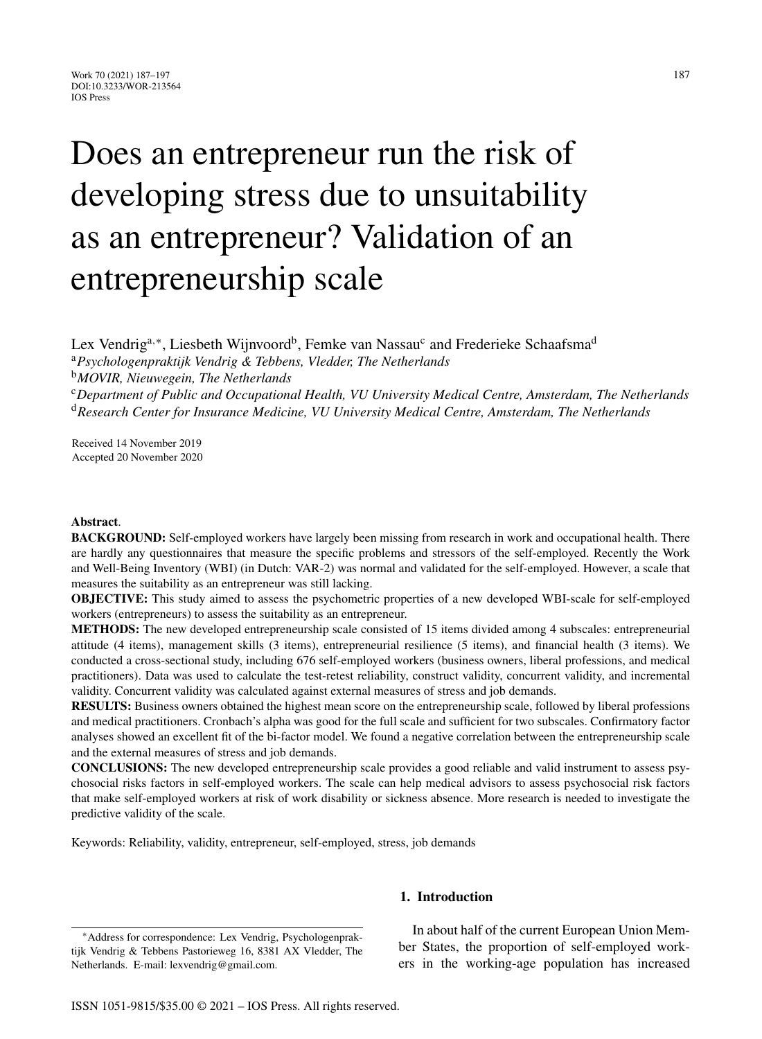# Does an entrepreneur run the risk of developing stress due to unsuitability as an entrepreneur? Validation of an entrepreneurship scale

Lex Vendrig<sup>a,∗</sup>, Liesbeth Wijnvoord<sup>b</sup>, Femke van Nassau<sup>c</sup> and Frederieke Schaafsma<sup>d</sup> <sup>a</sup>*Psychologenpraktijk Vendrig & Tebbens, Vledder, The Netherlands* <sup>b</sup>*MOVIR, Nieuwegein, The Netherlands* <sup>c</sup>*Department of Public and Occupational Health, VU University Medical Centre, Amsterdam, The Netherlands* <sup>d</sup>*Research Center for Insurance Medicine, VU University Medical Centre, Amsterdam, The Netherlands*

Received 14 November 2019 Accepted 20 November 2020

#### **Abstract**.

**BACKGROUND:** Self-employed workers have largely been missing from research in work and occupational health. There are hardly any questionnaires that measure the specific problems and stressors of the self-employed. Recently the Work and Well-Being Inventory (WBI) (in Dutch: VAR-2) was normal and validated for the self-employed. However, a scale that measures the suitability as an entrepreneur was still lacking.

**OBJECTIVE:** This study aimed to assess the psychometric properties of a new developed WBI-scale for self-employed workers (entrepreneurs) to assess the suitability as an entrepreneur.

**METHODS:** The new developed entrepreneurship scale consisted of 15 items divided among 4 subscales: entrepreneurial attitude (4 items), management skills (3 items), entrepreneurial resilience (5 items), and financial health (3 items). We conducted a cross-sectional study, including 676 self-employed workers (business owners, liberal professions, and medical practitioners). Data was used to calculate the test-retest reliability, construct validity, concurrent validity, and incremental validity. Concurrent validity was calculated against external measures of stress and job demands.

**RESULTS:** Business owners obtained the highest mean score on the entrepreneurship scale, followed by liberal professions and medical practitioners. Cronbach's alpha was good for the full scale and sufficient for two subscales. Confirmatory factor analyses showed an excellent fit of the bi-factor model. We found a negative correlation between the entrepreneurship scale and the external measures of stress and job demands.

**CONCLUSIONS:** The new developed entrepreneurship scale provides a good reliable and valid instrument to assess psychosocial risks factors in self-employed workers. The scale can help medical advisors to assess psychosocial risk factors that make self-employed workers at risk of work disability or sickness absence. More research is needed to investigate the predictive validity of the scale.

Keywords: Reliability, validity, entrepreneur, self-employed, stress, job demands

## **1. Introduction**

In about half of the current European Union Member States, the proportion of self-employed workers in the working-age population has increased

<sup>∗</sup>Address for correspondence: Lex Vendrig, Psychologenpraktijk Vendrig & Tebbens Pastorieweg 16, 8381 AX Vledder, The Netherlands. E-mail: [lexvendrig@gmail.com](mailto:lexvendrig@gmail.com).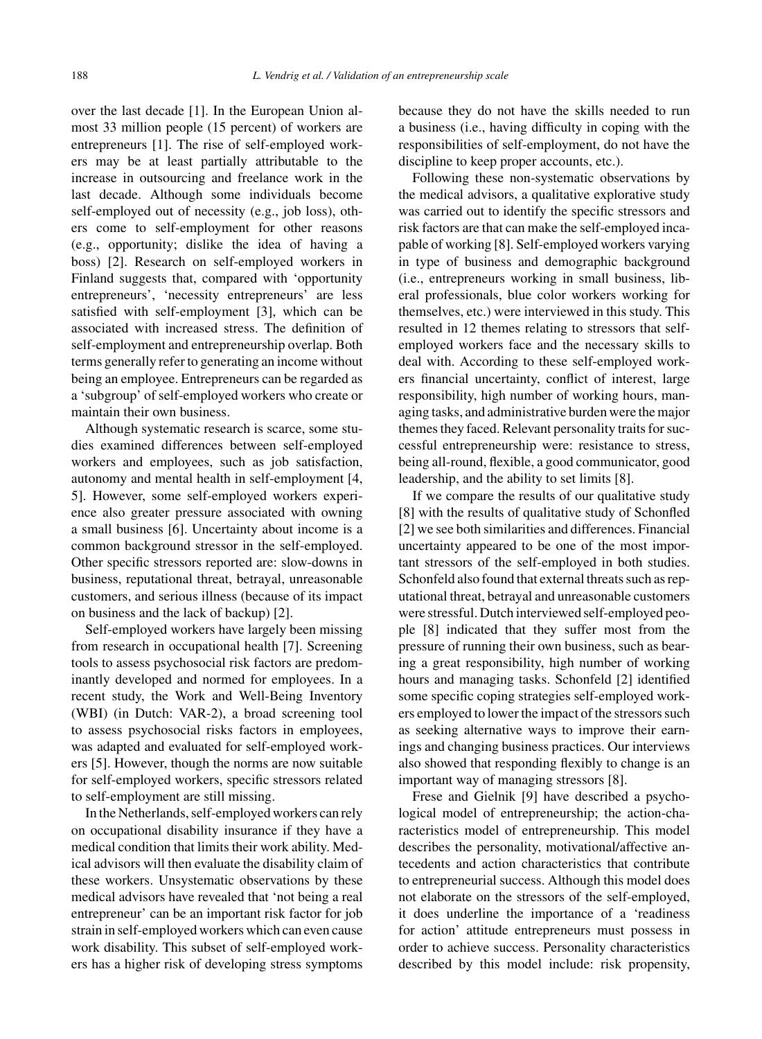over the last decade [1]. In the European Union almost 33 million people (15 percent) of workers are entrepreneurs [1]. The rise of self-employed workers may be at least partially attributable to the increase in outsourcing and freelance work in the last decade. Although some individuals become self-employed out of necessity (e.g., job loss), others come to self-employment for other reasons (e.g., opportunity; dislike the idea of having a boss) [2]. Research on self-employed workers in Finland suggests that, compared with 'opportunity entrepreneurs', 'necessity entrepreneurs' are less satisfied with self-employment [3], which can be associated with increased stress. The definition of self-employment and entrepreneurship overlap. Both terms generally refer to generating an income without being an employee. Entrepreneurs can be regarded as a 'subgroup' of self-employed workers who create or maintain their own business.

Although systematic research is scarce, some studies examined differences between self-employed workers and employees, such as job satisfaction, autonomy and mental health in self-employment [4, 5]. However, some self-employed workers experience also greater pressure associated with owning a small business [6]. Uncertainty about income is a common background stressor in the self-employed. Other specific stressors reported are: slow-downs in business, reputational threat, betrayal, unreasonable customers, and serious illness (because of its impact on business and the lack of backup) [2].

Self-employed workers have largely been missing from research in occupational health [7]. Screening tools to assess psychosocial risk factors are predominantly developed and normed for employees. In a recent study, the Work and Well-Being Inventory (WBI) (in Dutch: VAR-2), a broad screening tool to assess psychosocial risks factors in employees, was adapted and evaluated for self-employed workers [5]. However, though the norms are now suitable for self-employed workers, specific stressors related to self-employment are still missing.

In the Netherlands, self-employed workers can rely on occupational disability insurance if they have a medical condition that limits their work ability. Medical advisors will then evaluate the disability claim of these workers. Unsystematic observations by these medical advisors have revealed that 'not being a real entrepreneur' can be an important risk factor for job strain in self-employed workers which can even cause work disability. This subset of self-employed workers has a higher risk of developing stress symptoms

because they do not have the skills needed to run a business (i.e., having difficulty in coping with the responsibilities of self-employment, do not have the discipline to keep proper accounts, etc.).

Following these non-systematic observations by the medical advisors, a qualitative explorative study was carried out to identify the specific stressors and risk factors are that can make the self-employed incapable of working [8]. Self-employed workers varying in type of business and demographic background (i.e., entrepreneurs working in small business, liberal professionals, blue color workers working for themselves, etc.) were interviewed in this study. This resulted in 12 themes relating to stressors that selfemployed workers face and the necessary skills to deal with. According to these self-employed workers financial uncertainty, conflict of interest, large responsibility, high number of working hours, managing tasks, and administrative burden were the major themes they faced. Relevant personality traits for successful entrepreneurship were: resistance to stress, being all-round, flexible, a good communicator, good leadership, and the ability to set limits [8].

If we compare the results of our qualitative study [8] with the results of qualitative study of Schonfled [2] we see both similarities and differences. Financial uncertainty appeared to be one of the most important stressors of the self-employed in both studies. Schonfeld also found that external threats such as reputational threat, betrayal and unreasonable customers were stressful. Dutch interviewed self-employed people [8] indicated that they suffer most from the pressure of running their own business, such as bearing a great responsibility, high number of working hours and managing tasks. Schonfeld [2] identified some specific coping strategies self-employed workers employed to lower the impact of the stressors such as seeking alternative ways to improve their earnings and changing business practices. Our interviews also showed that responding flexibly to change is an important way of managing stressors [8].

Frese and Gielnik [9] have described a psychological model of entrepreneurship; the action-characteristics model of entrepreneurship. This model describes the personality, motivational/affective antecedents and action characteristics that contribute to entrepreneurial success. Although this model does not elaborate on the stressors of the self-employed, it does underline the importance of a 'readiness for action' attitude entrepreneurs must possess in order to achieve success. Personality characteristics described by this model include: risk propensity,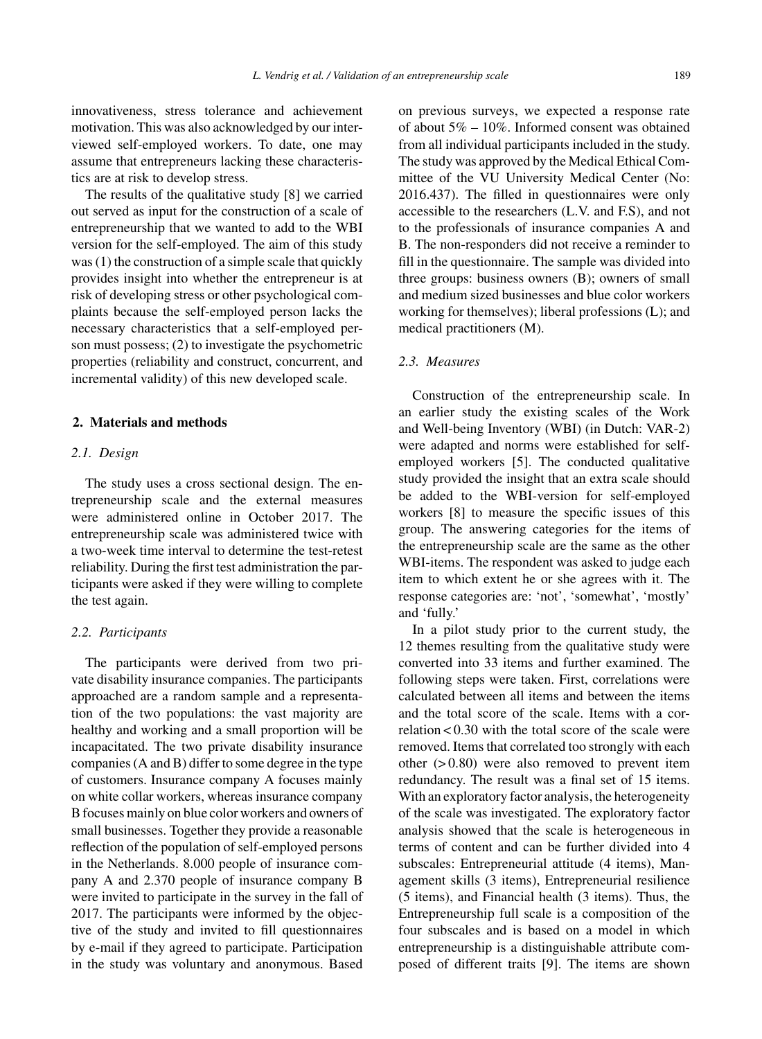innovativeness, stress tolerance and achievement motivation. This was also acknowledged by our interviewed self-employed workers. To date, one may assume that entrepreneurs lacking these characteristics are at risk to develop stress.

The results of the qualitative study [8] we carried out served as input for the construction of a scale of entrepreneurship that we wanted to add to the WBI version for the self-employed. The aim of this study was (1) the construction of a simple scale that quickly provides insight into whether the entrepreneur is at risk of developing stress or other psychological complaints because the self-employed person lacks the necessary characteristics that a self-employed person must possess; (2) to investigate the psychometric properties (reliability and construct, concurrent, and incremental validity) of this new developed scale.

#### **2. Materials and methods**

#### *2.1. Design*

The study uses a cross sectional design. The entrepreneurship scale and the external measures were administered online in October 2017. The entrepreneurship scale was administered twice with a two-week time interval to determine the test-retest reliability. During the first test administration the participants were asked if they were willing to complete the test again.

#### *2.2. Participants*

The participants were derived from two private disability insurance companies. The participants approached are a random sample and a representation of the two populations: the vast majority are healthy and working and a small proportion will be incapacitated. The two private disability insurance companies (A and B) differ to some degree in the type of customers. Insurance company A focuses mainly on white collar workers, whereas insurance company B focuses mainly on blue color workers and owners of small businesses. Together they provide a reasonable reflection of the population of self-employed persons in the Netherlands. 8.000 people of insurance company A and 2.370 people of insurance company B were invited to participate in the survey in the fall of 2017. The participants were informed by the objective of the study and invited to fill questionnaires by e-mail if they agreed to participate. Participation in the study was voluntary and anonymous. Based

on previous surveys, we expected a response rate of about 5% – 10%. Informed consent was obtained from all individual participants included in the study. The study was approved by the Medical Ethical Committee of the VU University Medical Center (No: 2016.437). The filled in questionnaires were only accessible to the researchers (L.V. and F.S), and not to the professionals of insurance companies A and B. The non-responders did not receive a reminder to fill in the questionnaire. The sample was divided into three groups: business owners (B); owners of small and medium sized businesses and blue color workers working for themselves); liberal professions (L); and medical practitioners (M).

# *2.3. Measures*

Construction of the entrepreneurship scale. In an earlier study the existing scales of the Work and Well-being Inventory (WBI) (in Dutch: VAR-2) were adapted and norms were established for selfemployed workers [5]. The conducted qualitative study provided the insight that an extra scale should be added to the WBI-version for self-employed workers [8] to measure the specific issues of this group. The answering categories for the items of the entrepreneurship scale are the same as the other WBI-items. The respondent was asked to judge each item to which extent he or she agrees with it. The response categories are: 'not', 'somewhat', 'mostly' and 'fully.'

In a pilot study prior to the current study, the 12 themes resulting from the qualitative study were converted into 33 items and further examined. The following steps were taken. First, correlations were calculated between all items and between the items and the total score of the scale. Items with a correlation < 0.30 with the total score of the scale were removed. Items that correlated too strongly with each other  $(> 0.80)$  were also removed to prevent item redundancy. The result was a final set of 15 items. With an exploratory factor analysis, the heterogeneity of the scale was investigated. The exploratory factor analysis showed that the scale is heterogeneous in terms of content and can be further divided into 4 subscales: Entrepreneurial attitude (4 items), Management skills (3 items), Entrepreneurial resilience (5 items), and Financial health (3 items). Thus, the Entrepreneurship full scale is a composition of the four subscales and is based on a model in which entrepreneurship is a distinguishable attribute composed of different traits [9]. The items are shown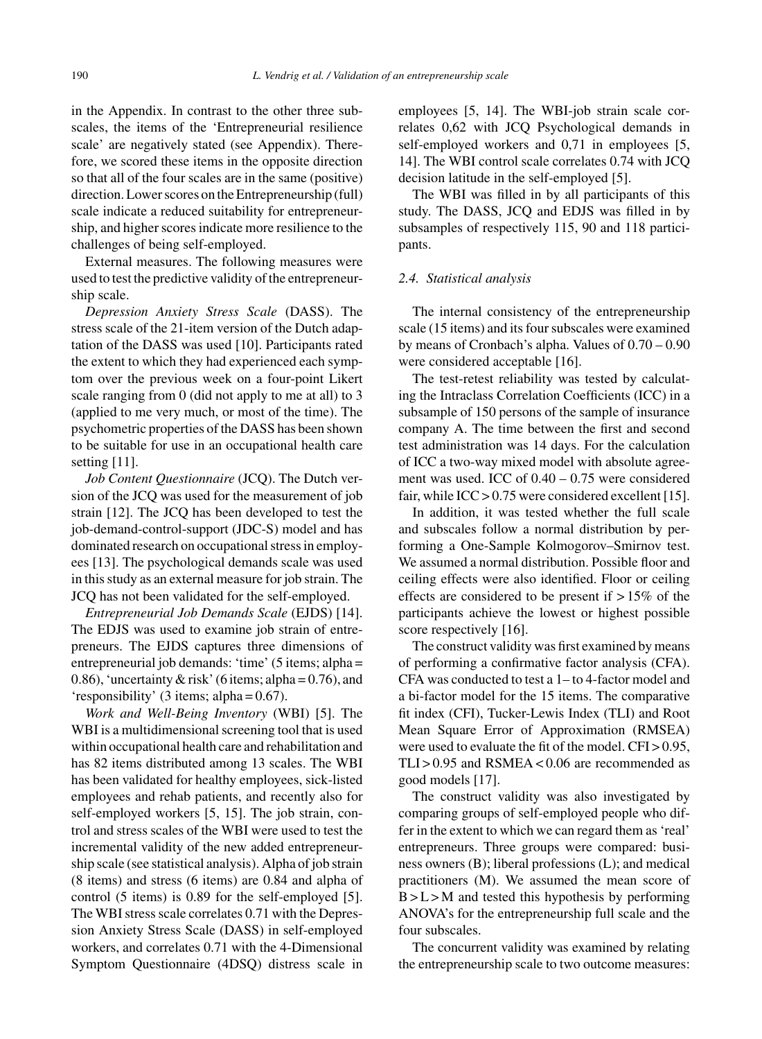in the Appendix. In contrast to the other three subscales, the items of the 'Entrepreneurial resilience scale' are negatively stated (see Appendix). Therefore, we scored these items in the opposite direction so that all of the four scales are in the same (positive) direction. Lower scores on the Entrepreneurship (full) scale indicate a reduced suitability for entrepreneurship, and higher scores indicate more resilience to the challenges of being self-employed.

External measures. The following measures were used to test the predictive validity of the entrepreneurship scale.

*Depression Anxiety Stress Scale* (DASS). The stress scale of the 21-item version of the Dutch adaptation of the DASS was used [10]. Participants rated the extent to which they had experienced each symptom over the previous week on a four-point Likert scale ranging from 0 (did not apply to me at all) to 3 (applied to me very much, or most of the time). The psychometric properties of the DASS has been shown to be suitable for use in an occupational health care setting [11].

*Job Content Questionnaire* (JCQ). The Dutch version of the JCQ was used for the measurement of job strain [12]. The JCQ has been developed to test the job-demand-control-support (JDC-S) model and has dominated research on occupational stress in employees [13]. The psychological demands scale was used in this study as an external measure for job strain. The JCQ has not been validated for the self-employed.

*Entrepreneurial Job Demands Scale* (EJDS) [14]. The EDJS was used to examine job strain of entrepreneurs. The EJDS captures three dimensions of entrepreneurial job demands: 'time' (5 items; alpha = 0.86), 'uncertainty & risk' (6 items; alpha =  $0.76$ ), and 'responsibility' (3 items; alpha = 0.67).

*Work and Well-Being Inventory* (WBI) [5]. The WBI is a multidimensional screening tool that is used within occupational health care and rehabilitation and has 82 items distributed among 13 scales. The WBI has been validated for healthy employees, sick-listed employees and rehab patients, and recently also for self-employed workers [5, 15]. The job strain, control and stress scales of the WBI were used to test the incremental validity of the new added entrepreneurship scale (see statistical analysis). Alpha of job strain (8 items) and stress (6 items) are 0.84 and alpha of control (5 items) is 0.89 for the self-employed [5]. The WBI stress scale correlates 0.71 with the Depression Anxiety Stress Scale (DASS) in self-employed workers, and correlates 0.71 with the 4-Dimensional Symptom Questionnaire (4DSQ) distress scale in employees [5, 14]. The WBI-job strain scale correlates 0,62 with JCQ Psychological demands in self-employed workers and 0,71 in employees [5, 14]. The WBI control scale correlates 0.74 with JCQ decision latitude in the self-employed [5].

The WBI was filled in by all participants of this study. The DASS, JCQ and EDJS was filled in by subsamples of respectively 115, 90 and 118 participants.

#### *2.4. Statistical analysis*

The internal consistency of the entrepreneurship scale (15 items) and its four subscales were examined by means of Cronbach's alpha. Values of 0.70 – 0.90 were considered acceptable [16].

The test-retest reliability was tested by calculating the Intraclass Correlation Coefficients (ICC) in a subsample of 150 persons of the sample of insurance company A. The time between the first and second test administration was 14 days. For the calculation of ICC a two-way mixed model with absolute agreement was used. ICC of 0.40 – 0.75 were considered fair, while ICC > 0.75 were considered excellent [15].

In addition, it was tested whether the full scale and subscales follow a normal distribution by performing a One-Sample Kolmogorov–Smirnov test. We assumed a normal distribution. Possible floor and ceiling effects were also identified. Floor or ceiling effects are considered to be present if  $>15\%$  of the participants achieve the lowest or highest possible score respectively [16].

The construct validity was first examined by means of performing a confirmative factor analysis (CFA). CFA was conducted to test a 1– to 4-factor model and a bi-factor model for the 15 items. The comparative fit index (CFI), Tucker-Lewis Index (TLI) and Root Mean Square Error of Approximation (RMSEA) were used to evaluate the fit of the model.  $CFI > 0.95$ ,  $TLI > 0.95$  and  $RSMEA < 0.06$  are recommended as good models [17].

The construct validity was also investigated by comparing groups of self-employed people who differ in the extent to which we can regard them as 'real' entrepreneurs. Three groups were compared: business owners (B); liberal professions (L); and medical practitioners (M). We assumed the mean score of  $B > L > M$  and tested this hypothesis by performing ANOVA's for the entrepreneurship full scale and the four subscales.

The concurrent validity was examined by relating the entrepreneurship scale to two outcome measures: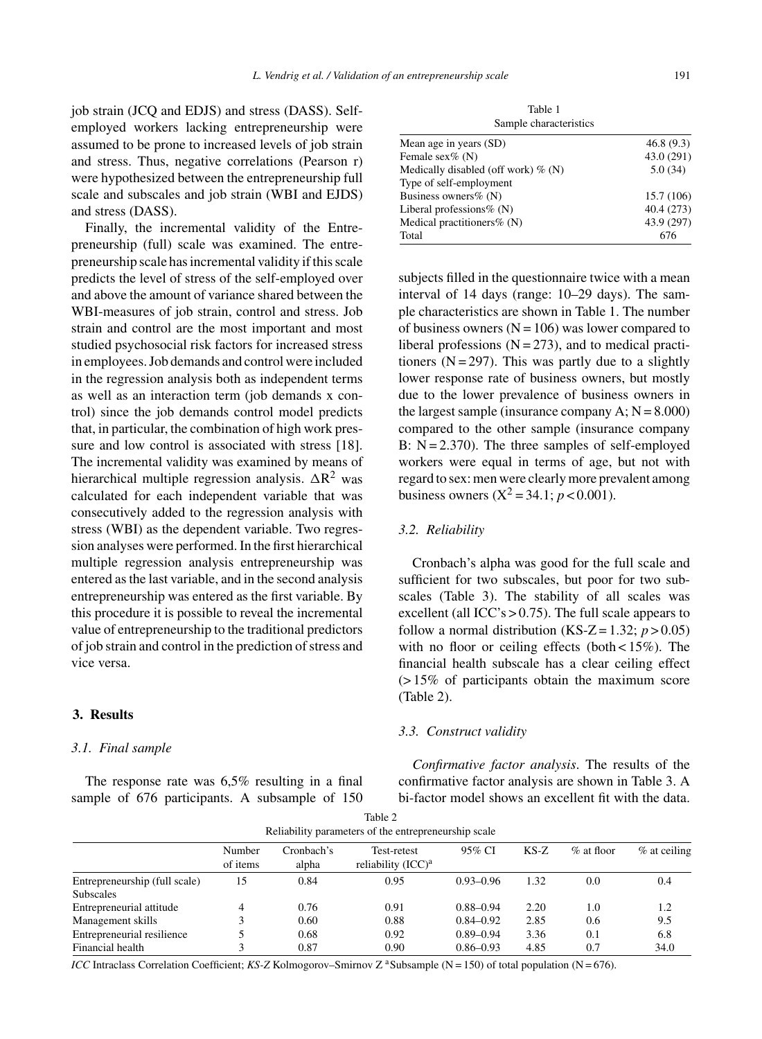job strain (JCQ and EDJS) and stress (DASS). Selfemployed workers lacking entrepreneurship were assumed to be prone to increased levels of job strain and stress. Thus, negative correlations (Pearson r) were hypothesized between the entrepreneurship full scale and subscales and job strain (WBI and EJDS) and stress (DASS).

Finally, the incremental validity of the Entrepreneurship (full) scale was examined. The entrepreneurship scale has incremental validity if this scale predicts the level of stress of the self-employed over and above the amount of variance shared between the WBI-measures of job strain, control and stress. Job strain and control are the most important and most studied psychosocial risk factors for increased stress in employees. Job demands and control were included in the regression analysis both as independent terms as well as an interaction term (job demands x control) since the job demands control model predicts that, in particular, the combination of high work pressure and low control is associated with stress [18]. The incremental validity was examined by means of hierarchical multiple regression analysis.  $\Delta R^2$  was calculated for each independent variable that was consecutively added to the regression analysis with stress (WBI) as the dependent variable. Two regression analyses were performed. In the first hierarchical multiple regression analysis entrepreneurship was entered as the last variable, and in the second analysis entrepreneurship was entered as the first variable. By this procedure it is possible to reveal the incremental value of entrepreneurship to the traditional predictors of job strain and control in the prediction of stress and vice versa.

# **3. Results**

#### *3.1. Final sample*

The response rate was 6,5% resulting in a final sample of 676 participants. A subsample of 150

Table 1 Sample characteristics

| Mean age in years (SD)                 | 46.8(9.3)  |
|----------------------------------------|------------|
| Female $sex\%$ (N)                     | 43.0 (291) |
| Medically disabled (off work) $\%$ (N) | 5.0(34)    |
| Type of self-employment                |            |
| Business owners $% (N)$                | 15.7 (106) |
| Liberal professions $\%$ (N)           | 40.4(273)  |
| Medical practitioners $% (N)$          | 43.9 (297) |
| Total                                  | 676        |
|                                        |            |

subjects filled in the questionnaire twice with a mean interval of 14 days (range: 10–29 days). The sample characteristics are shown in Table 1. The number of business owners  $(N = 106)$  was lower compared to liberal professions  $(N = 273)$ , and to medical practitioners  $(N = 297)$ . This was partly due to a slightly lower response rate of business owners, but mostly due to the lower prevalence of business owners in the largest sample (insurance company  $A$ ;  $N = 8.000$ ) compared to the other sample (insurance company B:  $N = 2.370$ ). The three samples of self-employed workers were equal in terms of age, but not with regard to sex: men were clearly more prevalent among business owners  $(X^2 = 34.1; p < 0.001)$ .

#### *3.2. Reliability*

Cronbach's alpha was good for the full scale and sufficient for two subscales, but poor for two subscales (Table 3). The stability of all scales was excellent (all ICC's  $> 0.75$ ). The full scale appears to follow a normal distribution (KS-Z = 1.32;  $p > 0.05$ ) with no floor or ceiling effects (both  $< 15\%$ ). The financial health subscale has a clear ceiling effect (> 15% of participants obtain the maximum score (Table 2).

#### *3.3. Construct validity*

*Confirmative factor analysis*. The results of the confirmative factor analysis are shown in Table 3. A bi-factor model shows an excellent fit with the data.

|                               |                    |                     | Table 2<br>Reliability parameters of the entrepreneurship scale |               |        |               |              |
|-------------------------------|--------------------|---------------------|-----------------------------------------------------------------|---------------|--------|---------------|--------------|
|                               | Number<br>of items | Cronbach's<br>alpha | Test-retest<br>reliability $(ICC)^a$                            | 95% CI        | $KS-Z$ | $\%$ at floor | % at ceiling |
| Entrepreneurship (full scale) | 15                 | 0.84                | 0.95                                                            | $0.93 - 0.96$ | 1.32   | 0.0           | 0.4          |
| <b>Subscales</b>              |                    |                     |                                                                 |               |        |               |              |
| Entrepreneurial attitude      | 4                  | 0.76                | 0.91                                                            | $0.88 - 0.94$ | 2.20   | 1.0           | 1.2          |
| Management skills             | 3                  | 0.60                | 0.88                                                            | $0.84 - 0.92$ | 2.85   | 0.6           | 9.5          |
| Entrepreneurial resilience    |                    | 0.68                | 0.92                                                            | $0.89 - 0.94$ | 3.36   | 0.1           | 6.8          |
| Financial health              | 3                  | 0.87                | 0.90                                                            | $0.86 - 0.93$ | 4.85   | 0.7           | 34.0         |

*ICC* Intraclass Correlation Coefficient; *KS-Z* Kolmogorov–Smirnov Z <sup>a</sup> Subsample (N = 150) of total population (N = 676).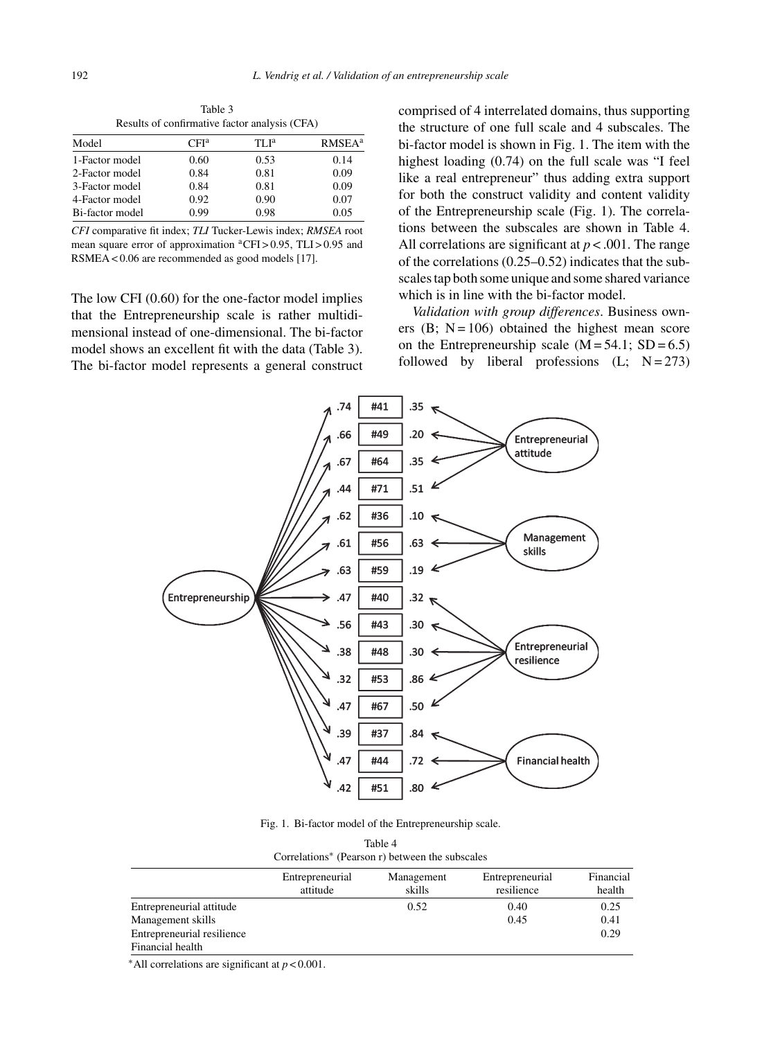|                 |                  | Results of confirmative factor analysis (CFA) |                           |
|-----------------|------------------|-----------------------------------------------|---------------------------|
| Model           | CFI <sup>a</sup> | TLI <sup>a</sup>                              | <b>RMSEA</b> <sup>a</sup> |
| 1-Factor model  | 0.60             | 0.53                                          | 0.14                      |
| 2-Factor model  | 0.84             | 0.81                                          | 0.09                      |
| 3-Factor model  | 0.84             | 0.81                                          | 0.09                      |
| 4-Factor model  | 0.92             | 0.90                                          | 0.07                      |
| Bi-factor model | 0.99             | 0.98                                          | 0.05                      |

Table 3 Results of confirmative factor analysis (CFA)

*CFI* comparative fit index; *TLI* Tucker-Lewis index; *RMSEA* root mean square error of approximation <sup>a</sup>CFI > 0.95, TLI > 0.95 and RSMEA < 0.06 are recommended as good models [17].

The low CFI (0.60) for the one-factor model implies that the Entrepreneurship scale is rather multidimensional instead of one-dimensional. The bi-factor model shows an excellent fit with the data (Table 3). The bi-factor model represents a general construct comprised of 4 interrelated domains, thus supporting the structure of one full scale and 4 subscales. The bi-factor model is shown in Fig. 1. The item with the highest loading (0.74) on the full scale was "I feel like a real entrepreneur" thus adding extra support for both the construct validity and content validity of the Entrepreneurship scale (Fig. 1). The correlations between the subscales are shown in Table 4. All correlations are significant at  $p < .001$ . The range of the correlations (0.25–0.52) indicates that the subscales tap both some unique and some shared variance which is in line with the bi-factor model.

*Validation with group differences*. Business owners  $(B; N = 106)$  obtained the highest mean score on the Entrepreneurship scale  $(M = 54.1; SD = 6.5)$ followed by liberal professions  $(L; N=273)$ 



Fig. 1. Bi-factor model of the Entrepreneurship scale.

| Table 4                                                     |
|-------------------------------------------------------------|
| Correlations <sup>*</sup> (Pearson r) between the subscales |

|                            | Entrepreneurial<br>attitude | Management<br>skills | Entrepreneurial<br>resilience | Financial<br>health |
|----------------------------|-----------------------------|----------------------|-------------------------------|---------------------|
| Entrepreneurial attitude   |                             | 0.52                 | 0.40                          | 0.25                |
| Management skills          |                             |                      | 0.45                          | 0.41                |
| Entrepreneurial resilience |                             |                      |                               | 0.29                |
| Financial health           |                             |                      |                               |                     |

∗All correlations are significant at *p* < 0.001.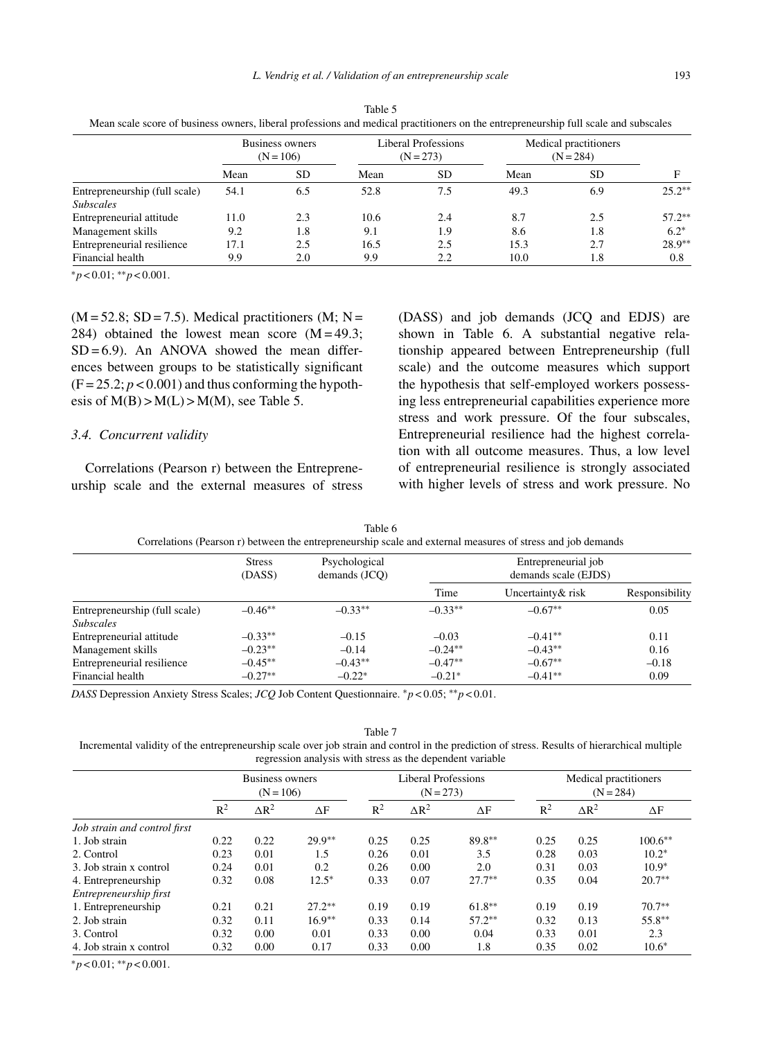*L. Vendrig et al. / Validation of an entrepreneurship scale* 193

|                               | <b>Business owners</b><br>$(N = 106)$ |           | Liberal Professions<br>$(N = 273)$ |           | Medical practitioners<br>$(N = 284)$ |           |          |
|-------------------------------|---------------------------------------|-----------|------------------------------------|-----------|--------------------------------------|-----------|----------|
|                               | Mean                                  | <b>SD</b> | Mean                               | <b>SD</b> | Mean                                 | <b>SD</b> | F        |
| Entrepreneurship (full scale) | 54.1                                  | 6.5       | 52.8                               | 7.5       | 49.3                                 | 6.9       | $25.2**$ |
| <b>Subscales</b>              |                                       |           |                                    |           |                                      |           |          |
| Entrepreneurial attitude      | 11.0                                  | 2.3       | 10.6                               | 2.4       | 8.7                                  | 2.5       | $57.2**$ |
| Management skills             | 9.2                                   | 1.8       | 9.1                                | 1.9       | 8.6                                  | 1.8       | $6.2*$   |
| Entrepreneurial resilience    | 17.1                                  | 2.5       | 16.5                               | 2.5       | 15.3                                 | 2.7       | $28.9**$ |
| Financial health              | 9.9                                   | 2.0       | 9.9                                | 2.2       | 10.0                                 | 1.8       | 0.8      |

Table 5 Mean scale score of business owners, liberal professions and medical practitioners on the entrepreneurship full scale and subscales

∗*p* < 0.01; ∗∗*p* < 0.001.

 $(M = 52.8; SD = 7.5)$ . Medical practitioners  $(M; N = 1)$ 284) obtained the lowest mean score  $(M = 49.3;$  $SD = 6.9$ ). An ANOVA showed the mean differences between groups to be statistically significant  $(F = 25.2; p < 0.001)$  and thus conforming the hypothesis of  $M(B) > M(L) > M(M)$ , see Table 5.

#### *3.4. Concurrent validity*

Correlations (Pearson r) between the Entrepreneurship scale and the external measures of stress (DASS) and job demands (JCQ and EDJS) are shown in Table 6. A substantial negative relationship appeared between Entrepreneurship (full scale) and the outcome measures which support the hypothesis that self-employed workers possessing less entrepreneurial capabilities experience more stress and work pressure. Of the four subscales, Entrepreneurial resilience had the highest correlation with all outcome measures. Thus, a low level of entrepreneurial resilience is strongly associated with higher levels of stress and work pressure. No

|                               | <b>Stress</b><br>(DASS) | Psychological<br>demands (JCO) |           | Entrepreneurial job<br>demands scale (EJDS) |                |  |  |
|-------------------------------|-------------------------|--------------------------------|-----------|---------------------------------------------|----------------|--|--|
|                               |                         |                                | Time      | Uncertainty & risk                          | Responsibility |  |  |
| Entrepreneurship (full scale) | $-0.46**$               | $-0.33**$                      | $-0.33**$ | $-0.67**$                                   | 0.05           |  |  |
| <b>Subscales</b>              |                         |                                |           |                                             |                |  |  |
| Entrepreneurial attitude      | $-0.33**$               | $-0.15$                        | $-0.03$   | $-0.41**$                                   | 0.11           |  |  |
| Management skills             | $-0.23**$               | $-0.14$                        | $-0.24**$ | $-0.43**$                                   | 0.16           |  |  |
| Entrepreneurial resilience    | $-0.45**$               | $-0.43**$                      | $-0.47**$ | $-0.67**$                                   | $-0.18$        |  |  |
| Financial health              | $-0.27**$               | $-0.22*$                       | $-0.21*$  | $-0.41**$                                   | 0.09           |  |  |

Table 6

*DASS* Depression Anxiety Stress Scales; *JCQ* Job Content Questionnaire. ∗*p* < 0.05; ∗∗*p* < 0.01.

#### Table 7

Incremental validity of the entrepreneurship scale over job strain and control in the prediction of stress. Results of hierarchical multiple regression analysis with stress as the dependent variable

|                              | Business owners<br>$(N = 106)$ |              | Liberal Professions<br>$(N = 273)$ |       |              | Medical practitioners<br>$(N = 284)$ |       |              |            |
|------------------------------|--------------------------------|--------------|------------------------------------|-------|--------------|--------------------------------------|-------|--------------|------------|
|                              | $\mathbb{R}^2$                 | $\Delta R^2$ | $\Delta F$                         | $R^2$ | $\Delta R^2$ | $\Delta F$                           | $R^2$ | $\Delta R^2$ | $\Delta F$ |
| Job strain and control first |                                |              |                                    |       |              |                                      |       |              |            |
| 1. Job strain                | 0.22                           | 0.22         | $29.9**$                           | 0.25  | 0.25         | 89.8**                               | 0.25  | 0.25         | $100.6**$  |
| 2. Control                   | 0.23                           | 0.01         | 1.5                                | 0.26  | 0.01         | 3.5                                  | 0.28  | 0.03         | $10.2*$    |
| 3. Job strain x control      | 0.24                           | 0.01         | 0.2                                | 0.26  | 0.00         | 2.0                                  | 0.31  | 0.03         | $10.9*$    |
| 4. Entrepreneurship          | 0.32                           | 0.08         | $12.5*$                            | 0.33  | 0.07         | $27.7**$                             | 0.35  | 0.04         | $20.7**$   |
| Entrepreneurship first       |                                |              |                                    |       |              |                                      |       |              |            |
| 1. Entrepreneurship          | 0.21                           | 0.21         | $27.2**$                           | 0.19  | 0.19         | $61.8***$                            | 0.19  | 0.19         | $70.7**$   |
| 2. Job strain                | 0.32                           | 0.11         | $16.9**$                           | 0.33  | 0.14         | $57.2***$                            | 0.32  | 0.13         | 55.8**     |
| 3. Control                   | 0.32                           | 0.00         | 0.01                               | 0.33  | 0.00         | 0.04                                 | 0.33  | 0.01         | 2.3        |
| 4. Job strain x control      | 0.32                           | 0.00         | 0.17                               | 0.33  | 0.00         | 1.8                                  | 0.35  | 0.02         | $10.6*$    |

∗*p* < 0.01; ∗∗*p* < 0.001.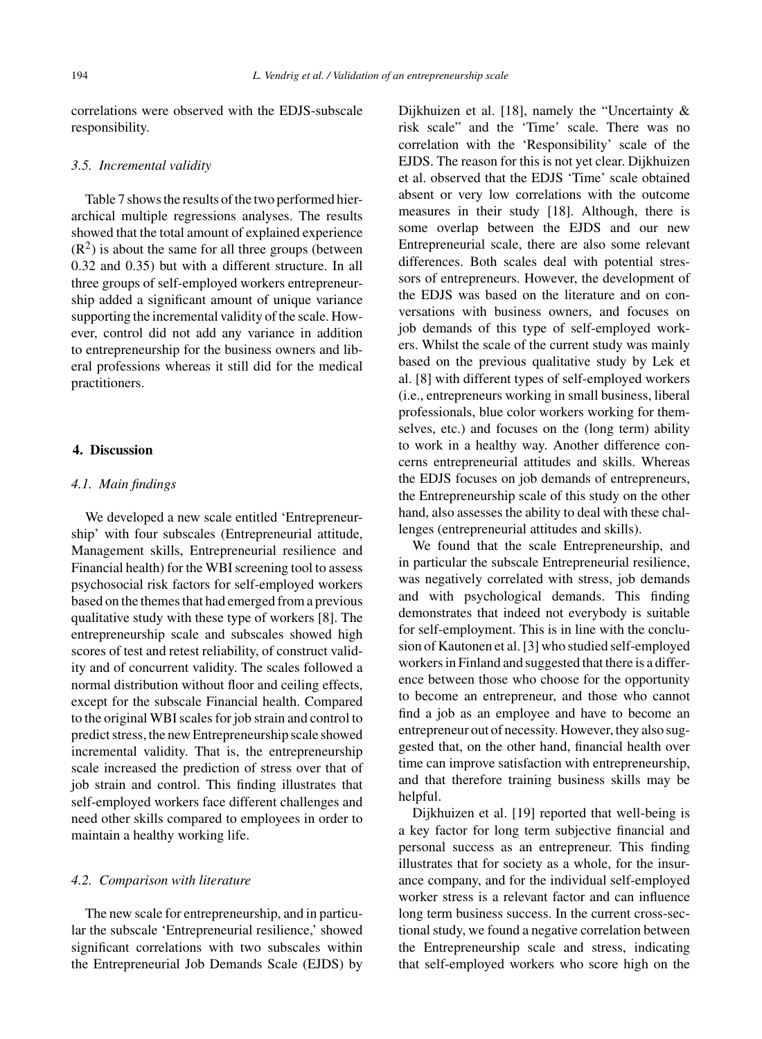correlations were observed with the EDJS-subscale responsibility.

#### *3.5. Incremental validity*

Table 7 shows the results of the two performed hierarchical multiple regressions analyses. The results showed that the total amount of explained experience  $(R<sup>2</sup>)$  is about the same for all three groups (between 0.32 and 0.35) but with a different structure. In all three groups of self-employed workers entrepreneurship added a significant amount of unique variance supporting the incremental validity of the scale. However, control did not add any variance in addition to entrepreneurship for the business owners and liberal professions whereas it still did for the medical practitioners.

#### **4. Discussion**

## *4.1. Main findings*

We developed a new scale entitled 'Entrepreneurship' with four subscales (Entrepreneurial attitude, Management skills, Entrepreneurial resilience and Financial health) for the WBI screening tool to assess psychosocial risk factors for self-employed workers based on the themes that had emerged from a previous qualitative study with these type of workers [8]. The entrepreneurship scale and subscales showed high scores of test and retest reliability, of construct validity and of concurrent validity. The scales followed a normal distribution without floor and ceiling effects, except for the subscale Financial health. Compared to the original WBI scales for job strain and control to predict stress, the new Entrepreneurship scale showed incremental validity. That is, the entrepreneurship scale increased the prediction of stress over that of job strain and control. This finding illustrates that self-employed workers face different challenges and need other skills compared to employees in order to maintain a healthy working life.

## *4.2. Comparison with literature*

The new scale for entrepreneurship, and in particular the subscale 'Entrepreneurial resilience,' showed significant correlations with two subscales within the Entrepreneurial Job Demands Scale (EJDS) by

Dijkhuizen et al. [18], namely the "Uncertainty & risk scale" and the 'Time' scale. There was no correlation with the 'Responsibility' scale of the EJDS. The reason for this is not yet clear. Dijkhuizen et al. observed that the EDJS 'Time' scale obtained absent or very low correlations with the outcome measures in their study [18]. Although, there is some overlap between the EJDS and our new Entrepreneurial scale, there are also some relevant differences. Both scales deal with potential stressors of entrepreneurs. However, the development of the EDJS was based on the literature and on conversations with business owners, and focuses on job demands of this type of self-employed workers. Whilst the scale of the current study was mainly based on the previous qualitative study by Lek et al. [8] with different types of self-employed workers (i.e., entrepreneurs working in small business, liberal professionals, blue color workers working for themselves, etc.) and focuses on the (long term) ability to work in a healthy way. Another difference concerns entrepreneurial attitudes and skills. Whereas the EDJS focuses on job demands of entrepreneurs, the Entrepreneurship scale of this study on the other hand, also assesses the ability to deal with these challenges (entrepreneurial attitudes and skills).

We found that the scale Entrepreneurship, and in particular the subscale Entrepreneurial resilience, was negatively correlated with stress, job demands and with psychological demands. This finding demonstrates that indeed not everybody is suitable for self-employment. This is in line with the conclusion of Kautonen et al. [3] who studied self-employed workers in Finland and suggested that there is a difference between those who choose for the opportunity to become an entrepreneur, and those who cannot find a job as an employee and have to become an entrepreneur out of necessity. However, they also suggested that, on the other hand, financial health over time can improve satisfaction with entrepreneurship, and that therefore training business skills may be helpful.

Dijkhuizen et al. [19] reported that well-being is a key factor for long term subjective financial and personal success as an entrepreneur. This finding illustrates that for society as a whole, for the insurance company, and for the individual self-employed worker stress is a relevant factor and can influence long term business success. In the current cross-sectional study, we found a negative correlation between the Entrepreneurship scale and stress, indicating that self-employed workers who score high on the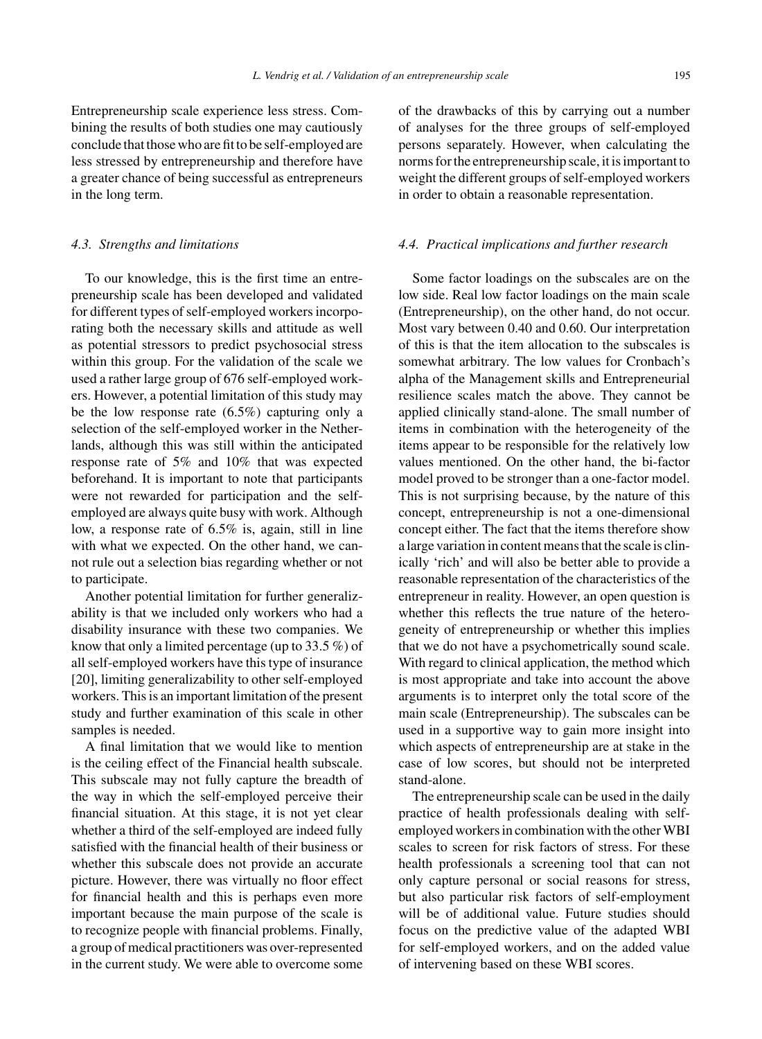Entrepreneurship scale experience less stress. Combining the results of both studies one may cautiously conclude that those who are fit to be self-employed are less stressed by entrepreneurship and therefore have a greater chance of being successful as entrepreneurs in the long term.

#### *4.3. Strengths and limitations*

To our knowledge, this is the first time an entrepreneurship scale has been developed and validated for different types of self-employed workers incorporating both the necessary skills and attitude as well as potential stressors to predict psychosocial stress within this group. For the validation of the scale we used a rather large group of 676 self-employed workers. However, a potential limitation of this study may be the low response rate (6.5%) capturing only a selection of the self-employed worker in the Netherlands, although this was still within the anticipated response rate of 5% and 10% that was expected beforehand. It is important to note that participants were not rewarded for participation and the selfemployed are always quite busy with work. Although low, a response rate of 6.5% is, again, still in line with what we expected. On the other hand, we cannot rule out a selection bias regarding whether or not to participate.

Another potential limitation for further generalizability is that we included only workers who had a disability insurance with these two companies. We know that only a limited percentage (up to 33.5 %) of all self-employed workers have this type of insurance [20], limiting generalizability to other self-employed workers. This is an important limitation of the present study and further examination of this scale in other samples is needed.

A final limitation that we would like to mention is the ceiling effect of the Financial health subscale. This subscale may not fully capture the breadth of the way in which the self-employed perceive their financial situation. At this stage, it is not yet clear whether a third of the self-employed are indeed fully satisfied with the financial health of their business or whether this subscale does not provide an accurate picture. However, there was virtually no floor effect for financial health and this is perhaps even more important because the main purpose of the scale is to recognize people with financial problems. Finally, a group of medical practitioners was over-represented in the current study. We were able to overcome some

of the drawbacks of this by carrying out a number of analyses for the three groups of self-employed persons separately. However, when calculating the norms for the entrepreneurship scale, it is important to weight the different groups of self-employed workers in order to obtain a reasonable representation.

#### *4.4. Practical implications and further research*

Some factor loadings on the subscales are on the low side. Real low factor loadings on the main scale (Entrepreneurship), on the other hand, do not occur. Most vary between 0.40 and 0.60. Our interpretation of this is that the item allocation to the subscales is somewhat arbitrary. The low values for Cronbach's alpha of the Management skills and Entrepreneurial resilience scales match the above. They cannot be applied clinically stand-alone. The small number of items in combination with the heterogeneity of the items appear to be responsible for the relatively low values mentioned. On the other hand, the bi-factor model proved to be stronger than a one-factor model. This is not surprising because, by the nature of this concept, entrepreneurship is not a one-dimensional concept either. The fact that the items therefore show a large variation in content means that the scale is clinically 'rich' and will also be better able to provide a reasonable representation of the characteristics of the entrepreneur in reality. However, an open question is whether this reflects the true nature of the heterogeneity of entrepreneurship or whether this implies that we do not have a psychometrically sound scale. With regard to clinical application, the method which is most appropriate and take into account the above arguments is to interpret only the total score of the main scale (Entrepreneurship). The subscales can be used in a supportive way to gain more insight into which aspects of entrepreneurship are at stake in the case of low scores, but should not be interpreted stand-alone.

The entrepreneurship scale can be used in the daily practice of health professionals dealing with selfemployed workers in combination with the other WBI scales to screen for risk factors of stress. For these health professionals a screening tool that can not only capture personal or social reasons for stress, but also particular risk factors of self-employment will be of additional value. Future studies should focus on the predictive value of the adapted WBI for self-employed workers, and on the added value of intervening based on these WBI scores.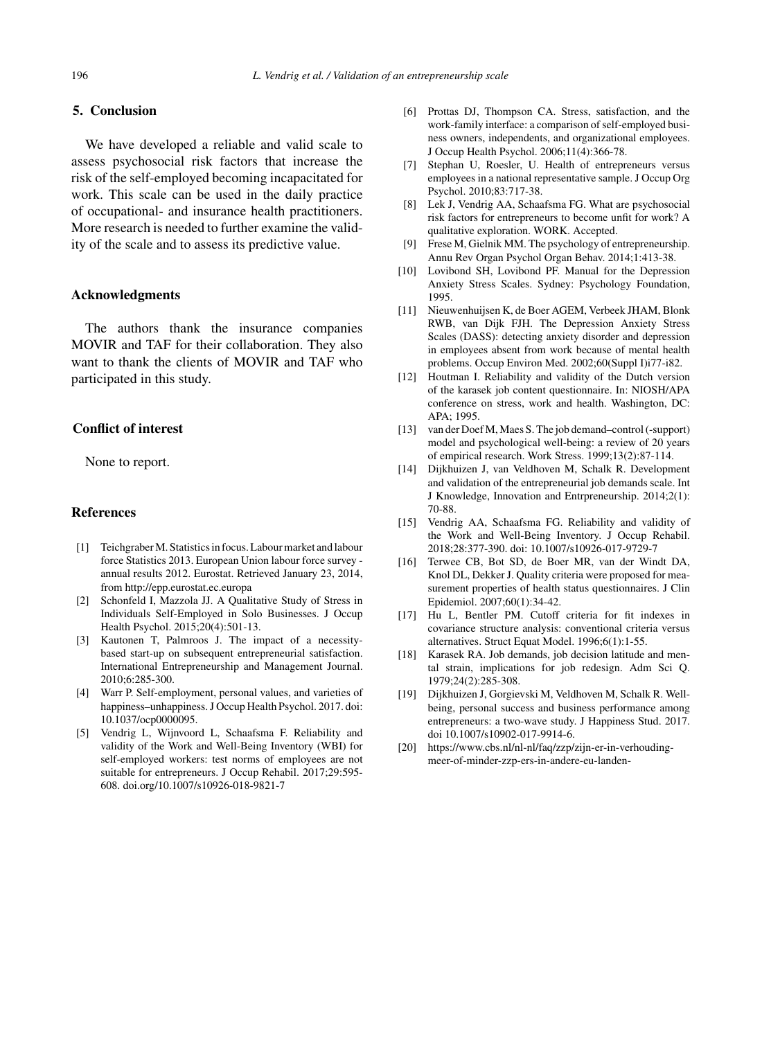### **5. Conclusion**

We have developed a reliable and valid scale to assess psychosocial risk factors that increase the risk of the self-employed becoming incapacitated for work. This scale can be used in the daily practice of occupational- and insurance health practitioners. More research is needed to further examine the validity of the scale and to assess its predictive value.

## **Acknowledgments**

The authors thank the insurance companies MOVIR and TAF for their collaboration. They also want to thank the clients of MOVIR and TAF who participated in this study.

#### **Conflict of interest**

None to report.

#### **References**

- [1] Teichgraber M. Statistics in focus. Labour market and labour force Statistics 2013. European Union labour force survey annual results 2012. Eurostat. Retrieved January 23, 2014, from<http://epp.eurostat.ec.europa>
- [2] Schonfeld I, Mazzola JJ. A Qualitative Study of Stress in Individuals Self-Employed in Solo Businesses. J Occup Health Psychol. 2015;20(4):501-13.
- [3] Kautonen T, Palmroos J. The impact of a necessitybased start-up on subsequent entrepreneurial satisfaction. International Entrepreneurship and Management Journal. 2010;6:285-300.
- [4] Warr P. Self-employment, personal values, and varieties of happiness–unhappiness. J Occup Health Psychol. 2017. doi: 10.1037/ocp0000095.
- [5] Vendrig L, Wijnvoord L, Schaafsma F. Reliability and validity of the Work and Well-Being Inventory (WBI) for self-employed workers: test norms of employees are not suitable for entrepreneurs. J Occup Rehabil. 2017;29:595- 608. doi.org/10.1007/s10926-018-9821-7
- [6] Prottas DJ, Thompson CA. Stress, satisfaction, and the work-family interface: a comparison of self-employed business owners, independents, and organizational employees. J Occup Health Psychol. 2006;11(4):366-78.
- [7] Stephan U, Roesler, U. Health of entrepreneurs versus employees in a national representative sample. J Occup Org Psychol. 2010;83:717-38.
- [8] Lek J, Vendrig AA, Schaafsma FG. What are psychosocial risk factors for entrepreneurs to become unfit for work? A qualitative exploration. WORK. Accepted.
- [9] Frese M, Gielnik MM. The psychology of entrepreneurship. Annu Rev Organ Psychol Organ Behav. 2014;1:413-38.
- [10] Lovibond SH, Lovibond PF. Manual for the Depression Anxiety Stress Scales. Sydney: Psychology Foundation, 1995.
- [11] Nieuwenhuijsen K, de Boer AGEM, Verbeek JHAM, Blonk RWB, van Dijk FJH. The Depression Anxiety Stress Scales (DASS): detecting anxiety disorder and depression in employees absent from work because of mental health problems. Occup Environ Med. 2002;60(Suppl I)i77-i82.
- [12] Houtman I. Reliability and validity of the Dutch version of the karasek job content questionnaire. In: NIOSH/APA conference on stress, work and health. Washington, DC:  $APA: 1995$
- [13] van der Doef M, Maes S. The job demand–control (-support) model and psychological well-being: a review of 20 years of empirical research. Work Stress. 1999;13(2):87-114.
- [14] Dijkhuizen J, van Veldhoven M, Schalk R. Development and validation of the entrepreneurial job demands scale. Int J Knowledge, Innovation and Entrpreneurship. 2014;2(1): 70-88.
- [15] Vendrig AA, Schaafsma FG. Reliability and validity of the Work and Well-Being Inventory. J Occup Rehabil. 2018;28:377-390. doi: 10.1007/s10926-017-9729-7
- [16] Terwee CB, Bot SD, de Boer MR, van der Windt DA, Knol DL, Dekker J. Quality criteria were proposed for measurement properties of health status questionnaires. J Clin Epidemiol. 2007;60(1):34-42.
- [17] Hu L, Bentler PM. Cutoff criteria for fit indexes in covariance structure analysis: conventional criteria versus alternatives. Struct Equat Model. 1996;6(1):1-55.
- [18] Karasek RA. Job demands, job decision latitude and mental strain, implications for job redesign. Adm Sci Q. 1979;24(2):285-308.
- [19] Dijkhuizen J, Gorgievski M, Veldhoven M, Schalk R. Wellbeing, personal success and business performance among entrepreneurs: a two-wave study. J Happiness Stud. 2017. doi 10.1007/s10902-017-9914-6.
- [20] [https://www.cbs.nl/nl-nl/faq/zzp/zijn-er-in-verhouding](https://www.cbs.nl/nl-nl/faq/zzp/zijn-er-in-verhouding-meer-of-minder-zzp-ers-in-andere-eu-landen-)meer-of-minder-zzp-ers-in-andere-eu-landen-